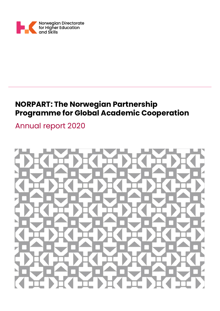

# **NORPART: The Norwegian Partnership Programme for Global Academic Cooperation**

Annual report 2020

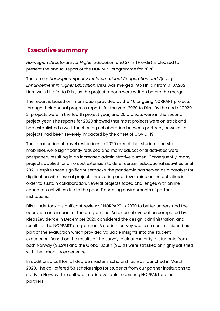## **Executive summary**

*Norwegian Directorate for Higher Education and Skills* (HK-dir) is pleased to present the annual report of the NORPART programme for 2020.

The former *Norwegian Agency for International Cooperation and Quality Enhancement in Higher Education*, Diku, was merged into HK-dir from 01.07.2021. Here we still refer to Diku, as the project reports were written before the merge.

The report is based on information provided by the 46 ongoing NORPART projects through their annual progress reports for the year 2020 to Diku. By the end of 2020, 21 projects were in the fourth project year, and 25 projects were in the second project year. The reports for 2020 showed that most projects were on track and had established a well-functioning collaboration between partners; however, all projects had been severely impacted by the onset of COVID-19.

The introduction of travel restrictions in 2020 meant that student and staff mobilities were significantly reduced and many educational activities were postponed, resulting in an increased administrative burden. Consequently, many projects applied for a no cost extension to defer certain educational activities until 2021. Despite these significant setbacks, the pandemic has served as a catalyst for digitisation with several projects innovating and developing online activities in order to sustain collaboration. Several projects faced challenges with online education activities due to the poor IT enabling environments of partner institutions.

Diku undertook a significant review of NORPART in 2020 to better understand the operation and impact of the programme. An external evaluation completed by Ideas2evidence in December 2020 considered the design, administration, and results of the NORPART programme. A student survey was also commissioned as part of the evaluation which provided valuable insights into the student experience. Based on the results of the survey, a clear majority of students from both Norway (98.2%) and the Global South (96.1%) were satisfied or highly satisfied with their mobility experience.

In addition, a call for full degree master's scholarships was launched in March 2020. The call offered 53 scholarships for students from our partner institutions to study in Norway. The call was made available to existing NORPART project partners.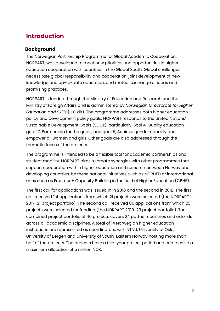## <span id="page-3-0"></span>**Introduction**

## <span id="page-3-1"></span>**Background**

The Norwegian Partnership Programme for Global Academic Cooperation, NORPART, was developed to meet new priorities and opportunities in higher education cooperation with countries in the Global South. Global challenges necessitate global responsibility and cooperation, joint development of new knowledge and up-to-date education, and mutual exchange of ideas and promising practices.

NORPART is funded through the Ministry of Education and Research and the Ministry of Foreign Affairs and is administered by *Norwegian Directorate for Higher Education and Skills* (HK-dir). The programme addresses both higher education policy and development policy goals. NORPART responds to the United Nations' Sustainable Development Goals (SDGs), particularly Goal 4, Quality education, goal 17, Partnership for the goals, and goal 5, Achieve gender equality and empower all women and girls. Other goals are also addressed through the thematic focus of the projects.

The programme is intended to be a flexible tool for academic partnerships and student mobility. NORPART aims to create synergies with other programmes that support cooperation within higher education and research between Norway and developing countries, be these national initiatives such as NORHED or international ones such as Erasmus+ Capacity Building in the field of Higher Education (CBHE).

The first call for applications was issued in in 2016 and the second in 2018. The first call received 114 applications from which 21 projects were selected (the NORPART 2017-21 project portfolio). The second call received 86 applications from which 25 projects were selected for funding (the NORPART 2019-23 project portfolio). The combined project portfolio of 46 projects covers 24 partner countries and extends across all academic disciplines. A total of 14 Norwegian higher education institutions are represented as coordinators, with NTNU, University of Oslo, University of Bergen and University of South-Eastern Norway hosting more than half of the projects. The projects have a five-year project period and can receive a maximum allocation of 5 million NOK.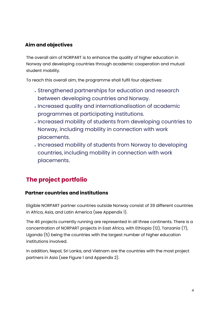## <span id="page-4-0"></span>**Aim and objectives**

The overall aim of NORPART is to enhance the quality of higher education in Norway and developing countries through academic cooperation and mutual student mobility.

To reach this overall aim, the programme shall fulfil four objectives:

- Strengthened partnerships for education and research between developing countries and Norway.
- Increased quality and internationalisation of academic programmes at participating institutions.
- Increased mobility of students from developing countries to Norway, including mobility in connection with work placements.
- Increased mobility of students from Norway to developing countries, including mobility in connection with work placements.

# <span id="page-4-1"></span>**The project portfolio**

## <span id="page-4-2"></span>**Partner countries and institutions**

Eligible NORPART partner countries outside Norway consist of 39 different countries in Africa, Asia, and Latin America (see Appendix 1).

The 46 projects currently running are represented in all three continents. There is a concentration of NORPART projects in East Africa, with Ethiopia (12), Tanzania (7), Uganda (5) being the countries with the largest number of higher education institutions involved.

In addition, Nepal, Sri Lanka, and Vietnam are the countries with the most project partners in Asia (see Figure 1 and Appendix 2).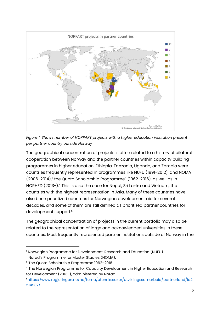

*Figure 1: Shows number of NORPART projects with a higher education institution present per partner country outside Norway*

The geographical concentration of projects is often related to a history of bilateral cooperation between Norway and the partner countries within capacity building programmes in higher education. Ethiopia, Tanzania, Uganda, and Zambia were countries frequently represented in programmes like NUFU (1991-2012)<sup>1</sup> and NOMA (2006-2014),<sup>2</sup> the Quota Scholarship Programme<sup>3</sup> (1962-2016), as well as in NORHED (2013-).<sup>4</sup> This is also the case for Nepal, Sri Lanka and Vietnam, the countries with the highest representation in Asia. Many of these countries have also been prioritized countries for Norwegian development aid for several decades, and some of them are still defined as prioritized partner countries for development support.<sup>5</sup>

The geographical concentration of projects in the current portfolio may also be related to the representation of large and acknowledged universities in these countries. Most frequently represented partner institutions outside of Norway in the

<sup>&</sup>lt;sup>1</sup> Norwegian Programme for Development, Research and Education (NUFU).

<sup>2</sup> Norad's Programme for Master Studies (NOMA).

<sup>3</sup> The Quota Scholarship Programme 1962-2016.

<sup>4</sup> The Norwegian Programme for Capacity Development in Higher Education and Research for Development (2013-), administered by Norad.

<sup>5</sup>[https://www.regjeringen.no/no/tema/utenrikssaker/utviklingssamarbeid/partnerland/id2](https://www.regjeringen.no/no/tema/utenrikssaker/utviklingssamarbeid/partnerland/id2514932/) [514932/.](https://www.regjeringen.no/no/tema/utenrikssaker/utviklingssamarbeid/partnerland/id2514932/)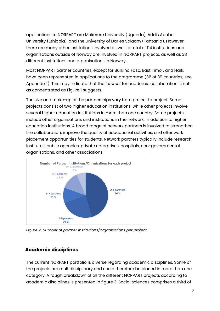applications to NORPART are Makerere University (Uganda), Addis Ababa University (Ethiopia), and the University of Dar es Salaam (Tanzania). However, there are many other institutions involved as well; a total of 114 institutions and organisations outside of Norway are involved in NORPART projects, as well as 38 different institutions and organisations in Norway.

Most NORPART partner countries, except for Burkina Faso, East Timor, and Haiti, have been represented in applications to the programme (36 of 39 countries; see Appendix 1). This may indicate that the *interest* for academic collaboration is not as concentrated as Figure 1 suggests.

The size and make-up of the partnerships vary from project to project. Some projects consist of two higher education institutions, while other projects involve several higher education institutions in more than one country. Some projects include other organisations and institutions in the network, in addition to higher education institutions. A broad range of network partners is involved to strengthen the collaboration, improve the quality of educational activities, and offer work placement opportunities for students. Network partners typically include research institutes, public agencies, private enterprises, hospitals, non-governmental organisations, and other associations.



*Figure 2: Number of partner institutions/organisations per project*

## <span id="page-6-0"></span>**Academic disciplines**

The current NORPART portfolio is diverse regarding academic disciplines. Some of the projects are multidisciplinary and could therefore be placed in more than one category. A rough breakdown of all the different NORPART projects according to academic disciplines is presented in figure 3. Social sciences comprises a third of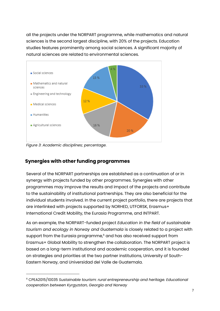all the projects under the NORPART programme, while mathematics and natural sciences is the second largest discipline, with 20% of the projects. Education studies features prominently among social sciences. A significant majority of natural sciences are related to environmental sciences.



*Figure 3: Academic disciplines; percentage.* 

## <span id="page-7-0"></span>**Synergies with other funding programmes**

Several of the NORPART partnerships are established as a continuation of or in synergy with projects funded by other programmes. Synergies with other programmes may improve the results and impact of the projects and contribute to the sustainability of institutional partnerships. They are also beneficial for the individual students involved. In the current project portfolio, there are projects that are interlinked with projects supported by NORHED, UTFORSK, Erasmus+ International Credit Mobility, the Eurasia Programme, and INTPART.

As an example, the NORPART-funded project *Education in the field of sustainable tourism and ecology in Norway and Guatemala* is closely related to a project with support from the Eurasia programme,<sup>6</sup> and has also received support from Erasmus+ Global Mobility to strengthen the collaboration. The NORPART project is based on a long-term institutional and academic cooperation, and it is founded on strategies and priorities at the two partner institutions, University of South-Eastern Norway, and Universidad del Valle de Guatemala.

<sup>6</sup> CPEA2015/10035 *Sustainable tourism: rural entrepreneurship and heritage. Educational cooperation between Kyrgyzstan, Georgia and Norway*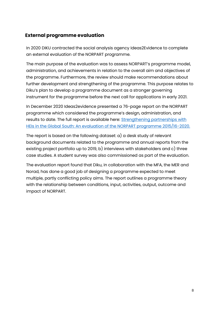## <span id="page-8-0"></span>**External programme evaluation**

In 2020 DIKU contracted the social analysis agency Ideas2Evidence to complete an external evaluation of the NORPART programme.

The main purpose of the evaluation was to assess NORPART's programme model, administration, and achievements in relation to the overall aim and objectives of the programme. Furthermore, the review should make recommendations about further development and strengthening of the programme. This purpose relates to Diku's plan to develop a programme document as a stronger governing instrument for the programme before the next call for applications in early 2021.

In December 2020 Ideas2evidence presented a 76-page report on the NORPART programme which considered the programme's design, administration, and results to date. The full report is available here: Strengthening partnerships with [HEIs in the Global South: An evaluation of the NORPART programme 2015/16-2020.](file:///C:/Users/ingvild.hope/Downloads/NORPART%20evaluation_final%20pdf%20(1).pdf)

The report is based on the following dataset: a) a desk study of relevant background documents related to the programme and annual reports from the existing project portfolio up to 2019, b) interviews with stakeholders and c) three case studies. A student survey was also commissioned as part of the evaluation.

The evaluation report found that Diku, in collaboration with the MFA, the MER and Norad, has done a good job of designing a programme expected to meet multiple, partly conflicting policy aims. The report outlines a programme theory with the relationship between conditions, input, activities, output, outcome and impact of NORPART.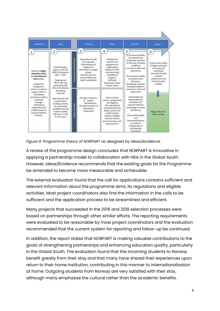

*Figure 4: Programme theory of NORPART as designed by ideas2evidence.*

A review of the programme design concludes that NORPART is innovative in applying a partnership model to collaboration with HEIs in the Global South. However, Ideas2Evidence recommends that the existing goals for the Programme be amended to become more measurable and achievable.

The external evaluation found that the call for applications contains sufficient and relevant information about the programme aims, its regulations and eligible activities. Most project coordinators also find the information in the calls to be sufficient and the application process to be streamlined and efficient.

Many projects that succeeded in the 2016 and 2018 selection processes were based on partnerships through other similar efforts. The reporting requirements were evaluated to be reasonable by most project coordinators and the evaluation recommended that the current system for reporting and follow-up be continued.

In addition, the report states that NORPART is making valuable contributions to the goals of strengthening partnerships and enhancing education quality, particularly in the Global South. The evaluation found that the incoming students to Norway benefit greatly from their stay and that many have shared their experiences upon return to their home institution, contributing in this manner to internationalization at home. Outgoing students from Norway are very satisfied with their stay, although many emphasize the cultural rather than the academic benefits.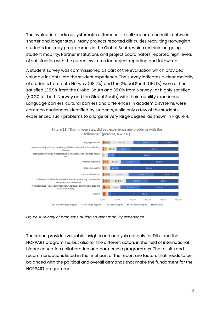The evaluation finds no systematic differences in self-reported benefits between shorter and longer stays. Many projects reported difficulties recruiting Norwegian students for study programmes in the Global South, which restricts outgoing student mobility. Partner institutions and project coordinators reported high levels of satisfaction with the current systems for project reporting and follow-up.

A student survey was commissioned as part of the evaluation which provided valuable insights into the student experience. The survey indicates a clear majority of students from both Norway (98.2%) and the Global South (96.1%) were either satisfied (35.9% from the Global South and 38.0% from Norway) or highly satisfied (60.2% for both Norway and the Global South) with their mobility experience. Language barriers, cultural barriers and differences in academic systems were common challenges identified by students, while only a few of the students experienced such problems to a large or very large degree, as shown in Figure 4.



Figure 11: "During your stay, did you experience any problems with the following:" (percent,  $N = 231$ )

*Figure 4: Survey of problems during student mobility experience*

The report provides valuable insights and analysis not only for Diku and the NORPART programme, but also for the different actors in the field of international higher education collaboration and partnership programmes. The results and recommendations listed in the final part of the report are factors that needs to be balanced with the political and overall demands that make the fundament for the NORPART programme.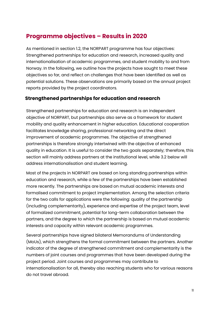## <span id="page-11-0"></span>**Programme objectives – Results in 2020**

As mentioned in section 1.2, the NORPART programme has four objectives: Strengthened partnerships for education and research, increased quality and internationalisation of academic programmes, and student mobility to and from Norway. In the following, we outline how the projects have sought to meet these objectives so far, and reflect on challenges that have been identified as well as potential solutions. These observations are primarily based on the annual project reports provided by the project coordinators.

## <span id="page-11-1"></span>**Strengthened partnerships for education and research**

Strengthened partnerships for education and research is an independent objective of NORPART, but partnerships also serve as a framework for student mobility and quality enhancement in higher education. Educational cooperation facilitates knowledge sharing, professional networking and the direct improvement of academic programmes. The objective of strengthened partnerships is therefore strongly intertwined with the objective of enhanced quality in education. It is useful to consider the two goals separately; therefore, this section will mainly address partners at the institutional level, while 3.2 below will address internationalisation and student learning.

Most of the projects in NORPART are based on long standing partnerships within education and research, while a few of the partnerships have been established more recently. The partnerships are based on mutual academic interests and formalised commitment to project implementation. Among the selection criteria for the two calls for applications were the following: quality of the partnership (including complementarity), experience and expertise of the project team, level of formalized commitment, potential for long-term collaboration between the partners, and the degree to which the partnership is based on mutual academic interests and capacity within relevant academic programmes.

Several partnerships have signed bilateral Memorandums of Understanding (MoUs), which strengthens the formal commitment between the partners. Another indicator of the degree of strengthened commitment and complementarity is the numbers of joint courses and programmes that have been developed during the project period. Joint courses and programmes may contribute to internationalisation for all, thereby also reaching students who for various reasons do not travel abroad.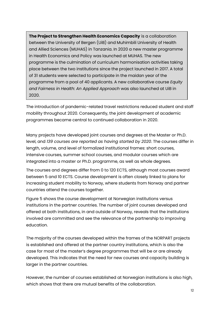**The Project to Strengthen Health Economics Capacity** is a collaboration between the University of Bergen (UiB) and Muhimbili University of Health and Allied Sciences (MUHAS) in Tanzania. In 2020 a new master programme in Health Economics and Policy was launched at MUHAS. The new programme is the culmination of curriculum harmonisation activities taking place between the two institutions since the project launched in 2017. A total of 31 students were selected to participate in the maidan year of the programme from a pool of 40 applicants. A new collaborative course *Equity and Fairness in Health: An Applied Approach* was also launched at UiB in 2020.

The introduction of pandemic-related travel restrictions reduced student and staff mobility throughout 2020. Consequently, the joint development of academic programmes became central to continued collaboration in 2020.

Many projects have developed joint courses and degrees at the Master or Ph.D. level, and *139 courses are reported as having started by 2020*. The courses differ in length, volume, and level of formalized institutional frames: short courses, intensive courses, summer school courses, and modular courses which are integrated into a master or Ph.D. programme, as well as whole degrees.

The courses and degrees differ from 0 to 120 ECTS, although most courses award between 5 and 10 ECTS. Course development is often closely linked to plans for increasing student mobility to Norway, where students from Norway and partner countries attend the courses together.

Figure 5 shows the course development at Norwegian institutions versus institutions in the partner countries. The number of joint courses developed and offered at both institutions, in and outside of Norway, reveals that the institutions involved are committed and see the relevance of the partnership to improving education.

The majority of the courses developed within the frames of the NORPART projects is established and offered at the partner country institutions, which is also the case for most of the master's degree programmes that will be or are already developed. This indicates that the need for new courses and capacity building is larger in the partner countries.

However, the number of courses established at Norwegian institutions is also high, which shows that there are mutual benefits of the collaboration.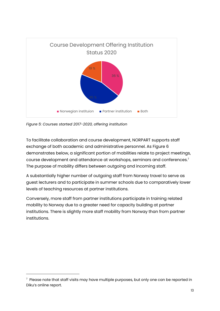

*Figure 5: Courses started 2017-2020, offering institution*

To facilitate collaboration and course development, NORPART supports staff exchange of both academic and administrative personnel. As Figure 6 demonstrates below, a significant portion of mobilities relate to project meetings, course development and attendance at workshops, seminars and conferences.<sup>7</sup> The purpose of mobility differs between outgoing and incoming staff.

A substantially higher number of outgoing staff from Norway travel to serve as guest lecturers and to participate in summer schools due to comparatively lower levels of teaching resources at partner institutions.

Conversely, more staff from partner institutions participate in training related mobility to Norway due to a greater need for capacity building at partner institutions. There is slightly more staff mobility from Norway than from partner institutions.

 $^\tau$  Please note that staff visits may have multiple purposes, but only one can be reported in Diku's online report.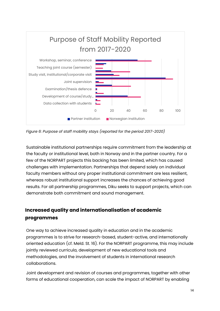

*Figure 6: Purpose of staff mobility stays (reported for the period 2017-2020)*

Sustainable institutional partnerships require commitment from the leadership at the faculty or institutional level, both in Norway and in the partner country. For a few of the NORPART projects this backing has been limited, which has caused challenges with implementation. Partnerships that depend solely on individual faculty members without any proper institutional commitment are less resilient, whereas robust institutional support increases the chances of achieving good results. For all partnership programmes, Diku seeks to support projects, which can demonstrate both commitment and sound management.

## <span id="page-14-0"></span>**Increased quality and internationalisation of academic programmes**

One way to achieve increased quality in education and in the academic programmes is to strive for research-based, student-active, and internationally oriented education (cf. Meld. St. 16). For the NORPART programme, this may include jointly reviewed curricula, development of new educational tools and methodologies, and the involvement of students in international research collaborations.

Joint development and revision of courses and programmes, together with other forms of educational cooperation, can scale the impact of NORPART by enabling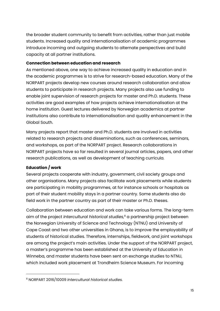the broader student community to benefit from activities, rather than just mobile students. Increased quality and internationalisation of academic programmes introduce incoming and outgoing students to alternate perspectives and build capacity at all partner institutions.

#### <span id="page-15-0"></span>**Connection between education and research**

As mentioned above, one way to achieve increased quality in education and in the academic programmes is to strive for research-based education. Many of the NORPART projects develop new courses around research collaboration and allow students to participate in research projects. Many projects also use funding to enable joint supervision of research projects for master and Ph.D. students. These activities are good examples of how projects achieve internationalisation at the home institution. Guest lectures delivered by Norwegian academics at partner institutions also contribute to internationalisation and quality enhancement in the Global South.

Many projects report that master and Ph.D. students are involved in activities related to research projects and disseminations, such as conferences, seminars, and workshops, as part of the NORPART project. Research collaborations in NORPART projects have so far resulted in several journal articles, papers, and other research publications, as well as development of teaching curricula.

### <span id="page-15-1"></span>**Education / work**

Several projects cooperate with industry, government, civil society groups and other organisations. Many projects also facilitate work placements while students are participating in mobility programmes, at for instance schools or hospitals as part of their student mobility stays in a partner country. Some students also do field work in the partner country as part of their master or Ph.D. theses.

Collaboration between education and work can take various forms. The long-term aim of the project *Intercultural historical studies,*<sup>8</sup> a partnership project between the Norwegian University of Science and Technology (NTNU) and University of Cape Coast and two other universities in Ghana, is to improve the employability of students of historical studies. Therefore, internships, fieldwork, and joint workshops are among the project's main activities. Under the support of the NORPART project, a master's programme has been established at the University of Education in Winneba, and master students have been sent on exchange studies to NTNU, which included work placement at Trondheim Science Museum. For incoming

<sup>8</sup> NORPART 2016/10009 *Intercultural historical studies.*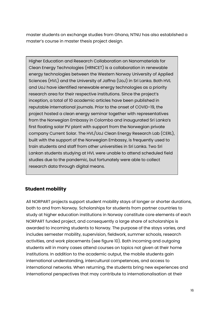master students on exchange studies from Ghana, NTNU has also established a master's course in master thesis project design.

Higher Education and Research Collaboration on Nanomaterials for Clean Energy Technologies (HRNCET) is a collaboration in renewable energy technologies between the Western Norway University of Applied Sciences (HVL) and the University of Jaffna (UoJ) in Sri Lanka. Both HVL and UoJ have identified renewable energy technologies as a priority research area for their respective institutions. Since the project's inception, a total of 10 academic articles have been published in reputable international journals. Prior to the onset of COVID-19, the project hosted a clean energy seminar together with representatives from the Norwegian Embassy in Colombo and inaugurated Sri Lanka's first floating solar PV plant with support from the Norwegian private company Current Solar. The HVL/UoJ Clean Energy Research Lab (CERL), built with the support of the Norwegian Embassy, is frequently used to train students and staff from other universities in Sri Lanka. Two Sri Lankan students studying at HVL were unable to attend scheduled field studies due to the pandemic, but fortunately were able to collect research data through digital means.

## <span id="page-16-0"></span>**Student mobility**

All NORPART projects support student mobility stays of longer or shorter durations, both to and from Norway. Scholarships for students from partner countries to study at higher education institutions in Norway constitute core elements of each NORPART funded project, and consequently a large share of scholarships is awarded to incoming students to Norway. The purpose of the stays varies, and includes semester mobility, supervision, fieldwork, summer schools, research activities, and work placements (see figure 10). Both incoming and outgoing students will in many cases attend courses on topics not given at their home institutions. In addition to the academic output, the mobile students gain international understanding, intercultural competences, and access to international networks. When returning, the students bring new experiences and international perspectives that may contribute to internationalisation at their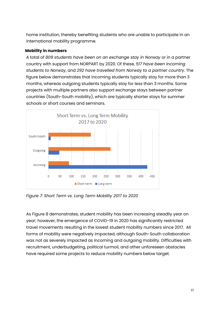home institution, thereby benefiting students who are unable to participate in an international mobility programme.

#### <span id="page-17-0"></span>**Mobility in numbers**

A total of *809 students have been on an exchange stay in Norway* or in a partner country with support from NORPART by 2020. Of these, *517 have been incoming students to Norway*, and *292 have travelled from Norway to a partner country*. The figure below demonstrates that incoming students typically stay for more than 3 months, whereas outgoing students typically stay for less than 3 months. Some projects with multiple partners also support exchange stays between partner countries (South-South mobility), which are typically shorter stays for summer schools or short courses and seminars.



*Figure 7: Short Term vs. Long Term Mobility 2017 to 2020*

As Figure 8 demonstrates, student mobility has been increasing steadily year on year; however, the emergence of COVID-19 in 2020 has significantly restricted travel movements resulting in the lowest student mobility numbers since 2017. All forms of mobility were negatively impacted, although South-South collaboration was not as severely impacted as incoming and outgoing mobility. Difficulties with recruitment, underbudgeting, political turmoil, and other unforeseen obstacles have required some projects to reduce mobility numbers below target.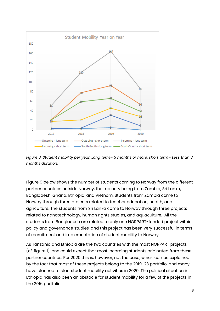

*Figure 8: Student mobility per year. Long term= 3 months or more, short term= Less than 3 months duration.*

Figure 9 below shows the number of students coming to Norway from the different partner countries outside Norway, the majority being from Zambia, Sri Lanka, Bangladesh, Ghana, Ethiopia, and Vietnam. Students from Zambia come to Norway through three projects related to teacher education, health, and agriculture. The students from Sri Lanka come to Norway through three projects related to nanotechnology, human rights studies, and aquaculture. All the students from Bangladesh are related to only one NORPART-funded project within policy and governance studies, and this project has been very successful in terms of recruitment and implementation of student mobility to Norway.

As Tanzania and Ethiopia are the two countries with the most NORPART projects (cf. figure 1), one could expect that most incoming students originated from these partner countries. Per 2020 this is, however, not the case, which can be explained by the fact that most of these projects belong to the 2019-23 portfolio, and many have planned to start student mobility activities in 2020. The political situation in Ethiopia has also been an obstacle for student mobility for a few of the projects in the 2016 portfolio.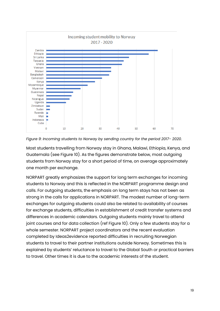

*Figure 9: Incoming students to Norway by sending country for the period 2017- 2020.*

Most students travelling from Norway stay in Ghana, Malawi, Ethiopia, Kenya, and Guatemala (see Figure 10). As the figures demonstrate below, most outgoing students from Norway stay for a short period of time, on average approximately one month per exchange.

NORPART greatly emphasizes the support for long term exchanges for incoming students to Norway and this is reflected in the NORPART programme design and calls. For outgoing students, the emphasis on long term stays has not been as strong in the calls for applications in NORPART. The modest number of long-term exchanges for outgoing students could also be related to availability of courses for exchange students, difficulties in establishment of credit transfer systems and differences in academic calendars. Outgoing students mainly travel to attend joint courses and for data collection (ref Figure 10). Only a few students stay for a whole semester. NORPART project coordinators and the recent evaluation completed by Ideas2evidence reported difficulties in recruiting Norwegian students to travel to their partner institutions outside Norway. Sometimes this is explained by students' reluctance to travel to the Global South or practical barriers to travel. Other times it is due to the academic interests of the student.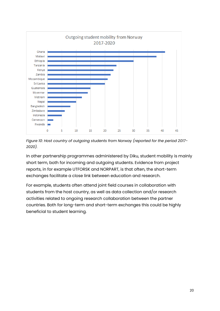

*Figure 10: Host country of outgoing students from Norway (reported for the period 2017- 2020).*

In other partnership programmes administered by Diku, student mobility is mainly short term, both for incoming and outgoing students. Evidence from project reports, in for example UTFORSK and NORPART, is that often, the short-term exchanges facilitate a close link between education and research.

For example, students often attend joint field courses in collaboration with students from the host country, as well as data collection and/or research activities related to ongoing research collaboration between the partner countries. Both for long-term and short-term exchanges this could be highly beneficial to student learning.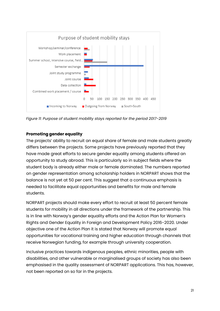

*Figure 11: Purpose of student mobility stays reported for the period 2017-2019*

#### <span id="page-21-0"></span>**Promoting gender equality**

The projects' ability to recruit an equal share of female and male students greatly differs between the projects. Some projects have previously reported that they have made great efforts to secure gender equality among students offered an opportunity to study abroad. This is particularly so in subject fields where the student body is already either male or female dominated. The numbers reported on gender representation among scholarship holders in NORPART shows that the balance is not yet at 50 per cent. This suggest that a continuous emphasis is needed to facilitate equal opportunities and benefits for male and female students.

NORPART projects should make every effort to recruit at least 50 percent female students for mobility in all directions under the framework of the partnership. This is in line with Norway's gender equality efforts and the Action Plan for Women's Rights and Gender Equality in Foreign and Development Policy 2016-2020. Under objective one of the Action Plan it is stated that Norway will promote equal opportunities for vocational training and higher education through channels that receive Norwegian funding, for example through university cooperation.

Inclusive practices towards indigenous peoples, ethnic minorities, people with disabilities, and other vulnerable or marginalised groups of society has also been emphasised in the quality assessment of NORPART applications. This has, however, not been reported on so far in the projects.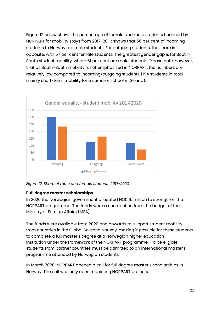Figure 12 below shows the percentage of female and male students financed by NORPART for mobility stays from 2017-20. It shows that 56 per cent of incoming students to Norway are male students. For outgoing students, the share is opposite, with 57 per cent female students. The greatest gender gap is for South-South student mobility, where 61 per cent are male students. Please note, however, that as South-South mobility is not emphasised in NORPART, the numbers are relatively low compared to incoming/outgoing students (194 students in total, mainly short-term mobility for a summer school in Ghana).



*Figure 12: Share of male and female students 2017-2020*

### <span id="page-22-0"></span>**Full degree master scholarships**

In 2020 the Norwegian government allocated NOK 16 million to strengthen the NORPART programme. The funds were a contribution from the budget of the Ministry of Foreign Affairs (MFA).

The funds were available from 2020 and onwards to support student mobility from countries in the Global South to Norway, making it possible for these students to complete a full master's degree at a Norwegian higher education institution under the framework of the NORPART programme. To be eligible, students from partner countries must be admitted to an international master's programme attended by Norwegian students.

In March 2020, NORPART opened a call for full degree master's scholarships in Norway. The call was only open to existing NORPART projects.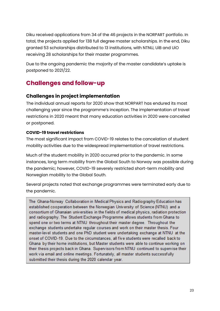Diku received applications from 34 of the 46 projects in the NORPART portfolio. In total, the projects applied for 138 full degree master scholarships. In the end, Diku granted 53 scholarships distributed to 13 institutions, with NTNU, UiB and UiO receiving 28 scholarships for their master programmes.

Due to the ongoing pandemic the majority of the master candidate's uptake is postponed to 2021/22.

## <span id="page-23-0"></span>**Challenges and follow-up**

## <span id="page-23-1"></span>**Challenges in project implementation**

The individual annual reports for 2020 show that NORPART has endured its most challenging year since the programme's inception. The implementation of travel restrictions in 2020 meant that many education activities in 2020 were cancelled or postponed.

#### <span id="page-23-2"></span>**COVID-19 travel restrictions**

The most significant impact from COVID-19 relates to the cancelation of student mobility activities due to the widespread implementation of travel restrictions.

Much of the student mobility in 2020 occurred prior to the pandemic. In some instances, long term mobility from the Global South to Norway was possible during the pandemic; however, COVID-19 severely restricted short-term mobility and Norwegian mobility to the Global South.

Several projects noted that exchange programmes were terminated early due to the pandemic.

The Ghana-Norway Collaboration in Medical Physics and Radiography Education has established cooperation between the Norwegian University of Science (NTNU) and a consortium of Ghanaian universities in the fields of medical physics, radiation protection and radiography. The Student Exchange Programme allows students from Ghana to spend one or two terms at NTNU throughout their master degree. Throughout the exchange students undertake regular courses and work on their master thesis. Four master-level students and one PhD student were undertaking exchange at NTNU at the onset of COVID-19. Due to the circumstances, all five students were recalled back to Ghana by their home institutions, but Master students were able to continue working on their thesis projects back in Ghana. Supervisors from NTNU continued to supervise their work via email and online meetings. Fortunately, all master students successfully submitted their thesis during the 2020 calendar year.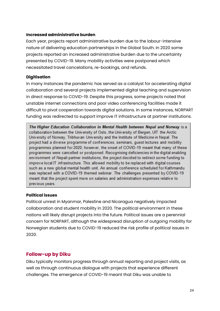#### <span id="page-24-0"></span>**Increased administrative burden**

Each year, projects report administrative burden due to the labour-intensive nature of delivering education partnerships in the Global South. In 2020 some projects reported an increased administrative burden due to the uncertainty presented by COVID-19. Many mobility activities were postponed which necessitated travel cancelations, re-bookings, and refunds.

#### <span id="page-24-1"></span>**Digitisation**

In many instances the pandemic has served as a catalyst for accelerating digital collaboration and several projects implemented digital teaching and supervision in direct response to COVID-19. Despite this progress, some projects noted that unstable internet connections and poor video conferencing facilities made it difficult to pivot cooperation towards digital solutions. In some instances, NORPART funding was redirected to support improve IT infrastructure at partner institutions.

The Higher Education Collaboration in Mental Health between Nepal and Norway is a collaboration between the University of Oslo, the University of Bergen, UIT the Arctic University of Norway, Tribhuvan University and the Institute of Medicine in Nepal. The project had a diverse programme of conferences, seminars, guest lectures and mobility programmes planned for 2020; however, the onset of COVID-19 meant that many of these programmes were cancelled or postponed. Recognising deficiencies in the digital enabling environment of Nepali partner institutions, the project decided to redirect some funding to improve local IT infrastructure. This allowed mobility to be replaced with digital courses such as a new global mental health unit. An annual conference scheduled for Kathmandu was replaced with a COVID-19 themed webinar. The challenges presented by COVID-19 meant that the project spent more on salaries and administration expenses relative to previous years.

#### <span id="page-24-2"></span>**Political issues**

Political unrest in Myanmar, Palestine and Nicaragua negatively impacted collaboration and student mobility in 2020. The political environment in these nations will likely disrupt projects into the future. Political issues are a perennial concern for NORPART, although the widespread disruption of outgoing mobility for Norwegian students due to COVID-19 reduced the risk profile of political issues in 2020.

#### <span id="page-24-3"></span>**Follow-up by Diku**

Diku typically monitors progress through annual reporting and project visits, as well as through continuous dialogue with projects that experience different challenges. The emergence of COVID-19 meant that Diku was unable to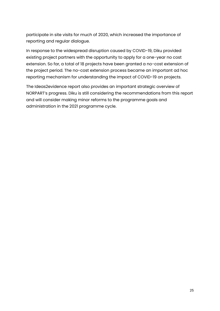participate in site visits for much of 2020, which increased the importance of reporting and regular dialogue.

In response to the widespread disruption caused by COVID-19, Diku provided existing project partners with the opportunity to apply for a one-year no cost extension. So far, a total of 18 projects have been granted a no-cost extension of the project period. The no-cost extension process became an important ad hoc reporting mechanism for understanding the impact of COVID-19 on projects.

The Ideas2evidence report also provides an important strategic overview of NORPART's progress. Diku is still considering the recommendations from this report and will consider making minor reforms to the programme goals and administration in the 2021 programme cycle.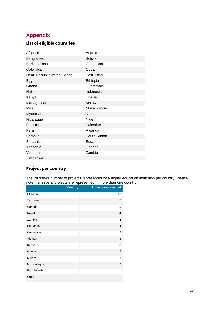## <span id="page-26-0"></span>**Appendix**

### <span id="page-26-1"></span>**List of eligible countries**

| Afghanistan                | Angola            |
|----------------------------|-------------------|
| Bangladesh                 | <b>Bolivia</b>    |
| <b>Burkina Faso</b>        | Cameroon          |
| Colombia                   | Cuba              |
| Dem. Republic of the Congo | <b>East Timor</b> |
| Egypt                      | Ethiopia          |
| Ghana                      | Guatemala         |
| Haiti                      | Indonesia         |
| Kenya                      | Liberia           |
| Madagascar                 | Malawi            |
| Mali                       | Mozambique        |
| Myanmar                    | Nepal             |
| Nicaragua                  | Niger             |
| Pakistan                   | Palestine         |
| Peru                       | Rwanda            |
| Somalia                    | South Sudan       |
| Sri Lanka                  | Sudan             |
| Tanzania                   | Uganda            |
| Vietnam                    | Zambia            |
| Zimbabwe                   |                   |

## <span id="page-26-2"></span>**Project per country**

The list shows number of projects represented by a higher education institution per country. Please note that several projects are represented in more than one country.

|            | <b>Country</b> | <b>Projects represented</b> |
|------------|----------------|-----------------------------|
| Ethiopia   |                | 12                          |
| Tanzania   |                | $\overline{7}$              |
| Uganda     |                | 5                           |
| Nepal      |                | 4                           |
| Zambia     |                | 4                           |
| Sri Lanka  |                | 4                           |
| Cameroon   |                | 3                           |
| Vietnam    |                | 3                           |
| Kenya      |                | 3                           |
| Ghana      |                | 3                           |
| Malawi     |                | $\overline{2}$              |
| Mozambique |                | $\overline{2}$              |
| Bangladesh |                | 1                           |
| Cuba       |                | 1                           |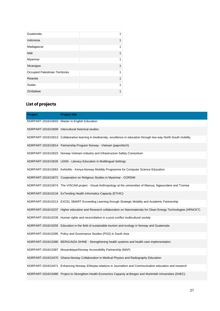| Guatemala                        | 1 |
|----------------------------------|---|
| Indonesia                        | 1 |
| Madagascar                       | 1 |
| Mali                             | 1 |
| Myanmar                          | 1 |
| Nicaragua                        | 1 |
| Occupied Palestinian Territories | 1 |
| Rwanda                           | 1 |
| Sudan                            | 1 |
| Zimbabwe                         |   |

## <span id="page-27-0"></span>**List of projects**

| Project | <b>Project title</b>                                                                                                    |
|---------|-------------------------------------------------------------------------------------------------------------------------|
|         | NORPART-2016/10003 Master in English Education                                                                          |
|         | NORPART-2016/10009 Intercultural historical studies                                                                     |
|         | NORPART-2016/10013 Collaborative learning in biodiversity, excellence in education through two-way North-South mobility |
|         | NORPART-2016/10014 Partnership Program Norway - Vietnam (paproNoVi)                                                     |
|         | NORPART-2016/10023 Norway-Vietnam Industry and Infrastructure Safety Consortium                                         |
|         | NORPART-2016/10026 LEMS - Literacy Education in Multilingual Settings                                                   |
|         | NORPART-2016/10063 KeNoMo - Kenya-Norway Mobility Programme for Computer Science Education                              |
|         | NORPART-2016/10072 Cooperation on Religious Studies in Myanmar - CORSIM                                                 |
|         | NORPART-2016/10074 The VISCAM project - Visual Anthropology at the universities of Maroua, Ngaoundere and Tromsø        |
|         | NORPART-2016/10134 ExTending Health Informatics Capacity (ETHIC)                                                        |
|         | NORPART-2016/10213 EXCEL SMART-Exceeding Learning through Strategic Mobility and Academic Partnership                   |
|         | NORPART-2016/10237 Higher education and Research collaboration on Nanomaterials for Clean Energy Technologies (HRNCET)  |
|         | NORPART-2016/10239 Human rights and reconciliation in a post conflict multicultural society                             |
|         | NORPART-2016/10255 Education in the field of sustainable tourism and ecology in Norway and Guatemala                    |
|         | NORPART-2016/10285 Policy and Governance Studies (PGS) in South Asia                                                    |
|         | NORPART-2016/10380 BERGUNZA-SHINE - Strengthening health systems and health care implementation                         |
|         | NORPART-2016/10387 Mozambique/Norway Accessibility Partnership (MAP)                                                    |
|         | NORPART-2016/10470 Ghana-Norway Collaboration in Medical Physics and Radiography Education                              |
|         | NORPART-2016/10471 Enhancing Norway-Ethiopia relations in Journalism and Communication education and research           |
|         | NORPART-2016/10480 Project to Strengthen Health Economics Capacity at Bergen and Muhimbili Universities (SHEC)          |